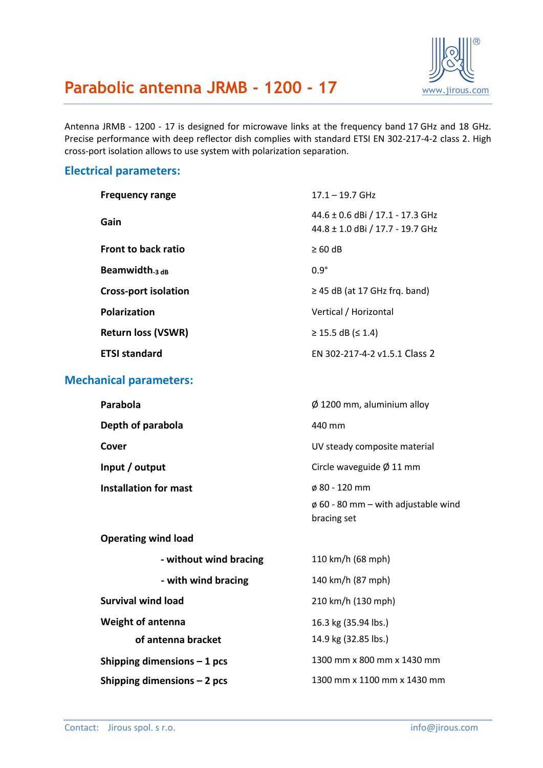

## **Parabolic antenna JRMB - 1200 - 17** [www.jirous.com](http://www.jirous.com/)

Antenna JRMB - 1200 - 17 is designed for microwave links at the frequency band 17 GHz and 18 GHz. Precise performance with deep reflector dish complies with standard ETSI EN 302-217-4-2 class 2. High cross-port isolation allows to use system with polarization separation.

#### **Electrical parameters:**

| <b>Frequency range</b>        | $17.1 - 19.7$ GHz                                                    |
|-------------------------------|----------------------------------------------------------------------|
| Gain                          | 44.6 ± 0.6 dBi / 17.1 - 17.3 GHz<br>44.8 ± 1.0 dBi / 17.7 - 19.7 GHz |
| Front to back ratio           | $\geq 60$ dB                                                         |
| Beamwidth $_3$ dB             | $0.9^\circ$                                                          |
| <b>Cross-port isolation</b>   | $\geq$ 45 dB (at 17 GHz frg. band)                                   |
| <b>Polarization</b>           | Vertical / Horizontal                                                |
| <b>Return loss (VSWR)</b>     | $\geq$ 15.5 dB ( $\leq$ 1.4)                                         |
| <b>ETSI standard</b>          | EN 302-217-4-2 v1.5.1 Class 2                                        |
| <b>Mechanical parameters:</b> |                                                                      |

| Parabola              | $\emptyset$ 1200 mm, aluminium alloy     |
|-----------------------|------------------------------------------|
| Depth of parabola     | 440 mm                                   |
| Cover                 | UV steady composite material             |
| Input / output        | Circle waveguide $\varnothing$ 11 mm     |
| Installation for mast | $\phi$ 80 - 120 mm                       |
|                       | $\phi$ 60 - 80 mm – with adjustable wind |

bracing set

| <b>Operating wind load</b>   |                             |
|------------------------------|-----------------------------|
| - without wind bracing       | 110 km/h (68 mph)           |
| - with wind bracing          | 140 km/h (87 mph)           |
| <b>Survival wind load</b>    | 210 km/h (130 mph)          |
| <b>Weight of antenna</b>     | 16.3 kg (35.94 lbs.)        |
| of antenna bracket           | 14.9 kg (32.85 lbs.)        |
| Shipping dimensions $-1$ pcs | 1300 mm x 800 mm x 1430 mm  |
| Shipping dimensions $-2$ pcs | 1300 mm x 1100 mm x 1430 mm |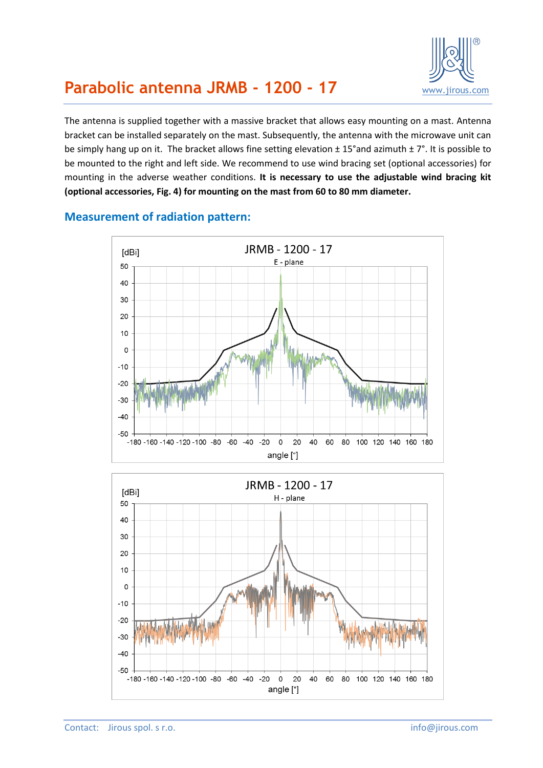

## **Parabolic antenna JRMB - 1200 - 17** [www.jirous.com](http://www.jirous.com/)

The antenna is supplied together with a massive bracket that allows easy mounting on a mast. Antenna bracket can be installed separately on the mast. Subsequently, the antenna with the microwave unit can be simply hang up on it. The bracket allows fine setting elevation ± 15°and azimuth ± 7°. It is possible to be mounted to the right and left side. We recommend to use wind bracing set (optional accessories) for mounting in the adverse weather conditions. **It is necessary to use the adjustable wind bracing kit (optional accessories, [Fig. 4\)](#page-3-0) for mounting on the mast from 60 to 80 mm diameter.**



#### **Measurement of radiation pattern:**

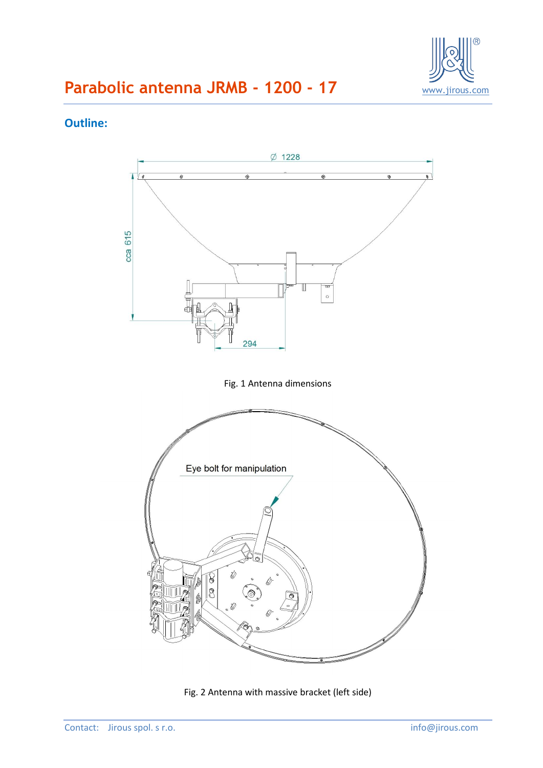

# **Parabolic antenna JRMB - 1200 - 17** WWW.jirous.com

### **Outline:**



Fig. 2 Antenna with massive bracket (left side)